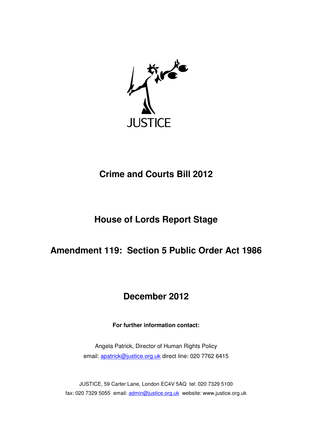

# **Crime and Courts Bill 2012**

# **House of Lords Report Stage**

## **Amendment 119: Section 5 Public Order Act 1986**

## **December 2012**

**For further information contact:** 

Angela Patrick, Director of Human Rights Policy email: apatrick@justice.org.uk direct line: 020 7762 6415

JUSTICE, 59 Carter Lane, London EC4V 5AQ tel: 020 7329 5100 fax: 020 7329 5055 email: admin@justice.org.uk website: www.justice.org.uk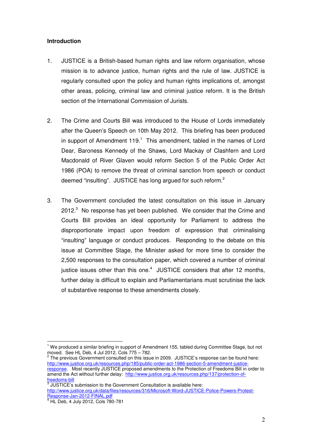### **Introduction**

- 1. JUSTICE is a British-based human rights and law reform organisation, whose mission is to advance justice, human rights and the rule of law. JUSTICE is regularly consulted upon the policy and human rights implications of, amongst other areas, policing, criminal law and criminal justice reform. It is the British section of the International Commission of Jurists.
- 2. The Crime and Courts Bill was introduced to the House of Lords immediately after the Queen's Speech on 10th May 2012. This briefing has been produced in support of Amendment  $119<sup>1</sup>$  This amendment, tabled in the names of Lord Dear, Baroness Kennedy of the Shaws, Lord Mackay of Clashfern and Lord Macdonald of River Glaven would reform Section 5 of the Public Order Act 1986 (POA) to remove the threat of criminal sanction from speech or conduct deemed "insulting". JUSTICE has long argued for such reform. $^2$
- 3. The Government concluded the latest consultation on this issue in January 2012. $3$  No response has yet been published. We consider that the Crime and Courts Bill provides an ideal opportunity for Parliament to address the disproportionate impact upon freedom of expression that criminalising "insulting" language or conduct produces. Responding to the debate on this issue at Committee Stage, the Minister asked for more time to consider the 2,500 responses to the consultation paper, which covered a number of criminal justice issues other than this one. $4\,$  JUSTICE considers that after 12 months, further delay is difficult to explain and Parliamentarians must scrutinise the lack of substantive response to these amendments closely.

f<u>reedoms-bill</u><br><sup>3</sup> JUSTICE's submission to the Government Consultation is available here: http://www.justice.org.uk/data/files/resources/316/Microsoft-Word-JUSTICE-Police-Powers-Protest-Response-Jan-2012-FINAL.pdf

l.

<sup>&</sup>lt;sup>1</sup> We produced a similar briefing in support of Amendment 155, tabled during Committee Stage, but not

moved. See HL Deb, 4 Jul 2012, Cols 775 – 782.<br><sup>2</sup> The previous Government consulted on this issue in 2009. JUSTICE's response can be found here: http://www.justice.org.uk/resources.php/185/public-order-act-1986-section-5-amendment-justiceresponse. Most recently JUSTICE proposed amendments to the Protection of Freedoms Bill in order to amend the Act without further delay: http://www.justice.org.uk/resources.php/137/protection-of-

<sup>4</sup> HL Deb, 4 July 2012, Cols 780-781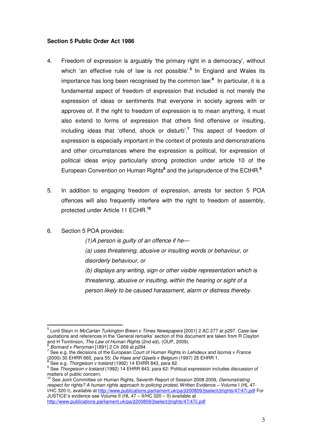### **Section 5 Public Order Act 1986**

- 4. Freedom of expression is arguably 'the primary right in a democracy', without which 'an effective rule of law is not possible'.**<sup>5</sup>** In England and Wales its importance has long been recognised by the common law:**<sup>6</sup>** In particular, it is a fundamental aspect of freedom of expression that included is not merely the expression of ideas or sentiments that everyone in society agrees with or approves of. If the right to freedom of expression is to mean anything, it must also extend to forms of expression that others find offensive or insulting, including ideas that 'offend, shock or disturb'.**<sup>7</sup>** This aspect of freedom of expression is especially important in the context of protests and demonstrations and other circumstances where the expression is political, for expression of political ideas enjoy particularly strong protection under article 10 of the European Convention on Human Rights<sup>8</sup> and the jurisprudence of the ECtHR.<sup>9</sup>
- 5. In addition to engaging freedom of expression, arrests for section 5 POA offences will also frequently interfere with the right to freedom of assembly, protected under Article 11 ECHR.**<sup>10</sup>**
- 6. Section 5 POA provides:

 $\overline{a}$ 

 $(1)$ A person is guilty of an offence if he-(a) uses threatening, abusive or insulting words or behaviour, or disorderly behaviour, or (b) displays any writing, sign or other visible representation which is threatening, abusive or insulting, within the hearing or sight of a person likely to be caused harassment, alarm or distress thereby.

<sup>&</sup>lt;sup>5</sup> Lord Steyn in *McCartan Turkington Breen v Times Newspapers* [2001] 2 AC 277 at p297. Case-law quotations and references in the 'General remarks' section of this document are taken from R Clayton and H Tomlinson, The Law of Human Rights (2nd ed), (OUP, 2009).  $\frac{6}{2}$  Bonnard v Perryman [1891] 2 Ch 269 at p284.

 $7$  See e.g. the decisions of the European Court of Human Rights in Lehideux and Isornia v France (2000) 30 EHRR 665, para 55; *De Haes and Gijsels v Belgium* (1997) 25 EHRR 1.<br><sup>8</sup> See e g. *Therasisen v Iseland* (1993) 14 EHRR 943, para 63. See e.g. Thorgeison v Iceland (1992) 14 EHRR 843, para 62.

<sup>&</sup>lt;sup>9</sup> See Thorgeison v Iceland (1992) 14 EHRR 843, para 62: Political expression includes discussion of matters of public concern.

<sup>&</sup>lt;sup>10</sup> See Joint Committee on Human Rights, Seventh Report of Session 2008-2009, Demonstrating respect for rights? A human rights approach to policing protest, Written Evidence – Volume I (HL 47- I/HC 320-I), available at http://www.publications.parliament.uk/pa/jt200809/jtselect/jtrights/47/47i.pdf For JUSTICE's evidence see Volume II (HL 47 – II/HC 320 – II) available at http://www.publications.parliament.uk/pa/jt200809/itselect/itrights/47/47ii.pdf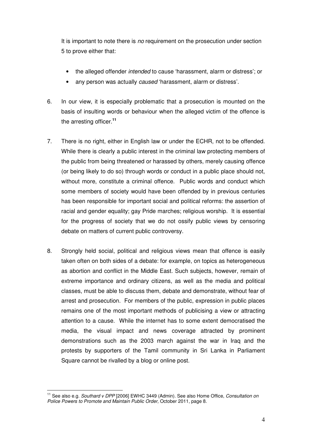It is important to note there is no requirement on the prosecution under section 5 to prove either that:

- the alleged offender intended to cause 'harassment, alarm or distress'; or
- any person was actually caused 'harassment, alarm or distress'.
- 6. In our view, it is especially problematic that a prosecution is mounted on the basis of insulting words or behaviour when the alleged victim of the offence is the arresting officer.**<sup>11</sup>**
- 7. There is no right, either in English law or under the ECHR, not to be offended. While there is clearly a public interest in the criminal law protecting members of the public from being threatened or harassed by others, merely causing offence (or being likely to do so) through words or conduct in a public place should not, without more, constitute a criminal offence. Public words and conduct which some members of society would have been offended by in previous centuries has been responsible for important social and political reforms: the assertion of racial and gender equality; gay Pride marches; religious worship. It is essential for the progress of society that we do not ossify public views by censoring debate on matters of current public controversy.
- 8. Strongly held social, political and religious views mean that offence is easily taken often on both sides of a debate: for example, on topics as heterogeneous as abortion and conflict in the Middle East. Such subjects, however, remain of extreme importance and ordinary citizens, as well as the media and political classes, must be able to discuss them, debate and demonstrate, without fear of arrest and prosecution. For members of the public, expression in public places remains one of the most important methods of publicising a view or attracting attention to a cause. While the internet has to some extent democratised the media, the visual impact and news coverage attracted by prominent demonstrations such as the 2003 march against the war in Iraq and the protests by supporters of the Tamil community in Sri Lanka in Parliament Square cannot be rivalled by a blog or online post.

 $\overline{a}$ 

<sup>&</sup>lt;sup>11</sup> See also e.g. Southard v DPP [2006] EWHC 3449 (Admin). See also Home Office, Consultation on Police Powers to Promote and Maintain Public Order, October 2011, page 8.